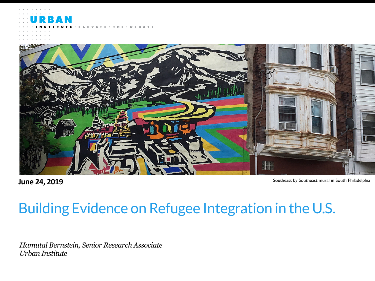$\cdot$  DEBATE ATE  $\cdot$  T H E



**June 24, 2019** Southeast by Southeast mural in South Philadelphia

#### Building Evidence on Refugee Integration in the U.S.

*Hamutal Bernstein, Senior Research Associate Urban Institute*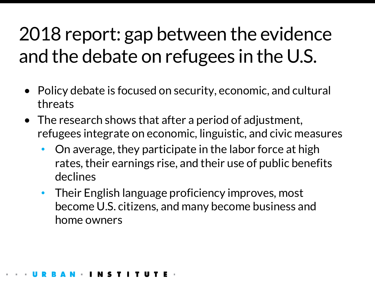### 2018 report: gap between the evidence and the debate on refugees in the U.S.

- Policy debate is focused on security, economic, and cultural threats
- The research shows that after a period of adjustment, refugees integrate on economic, linguistic, and civic measures
	- On average, they participate in the labor force at high rates, their earnings rise, and their use of public benefits declines
	- Their English language proficiency improves, most become U.S. citizens, and many become business and home owners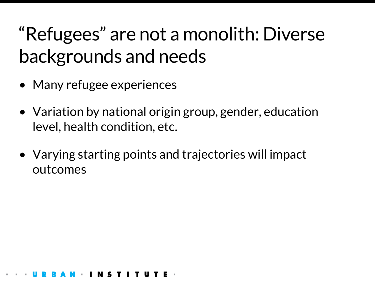### "Refugees" are not a monolith: Diverse backgrounds and needs

- Many refugee experiences
- Variation by national origin group, gender, education level, health condition, etc.
- Varying starting points and trajectories will impact outcomes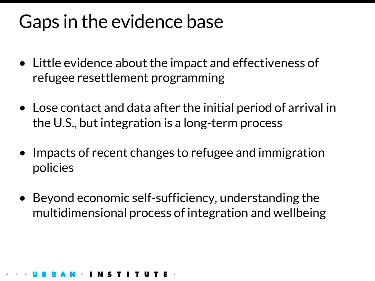#### Gaps in the evidence base

- Little evidence about the impact and effectiveness of refugee resettlement programming
- Lose contact and data after the initial period of arrival in the U.S., but integration is a long-term process
- Impacts of recent changes to refugee and immigration policies
- Beyond economic self-sufficiency, understanding the multidimensional process of integration and wellbeing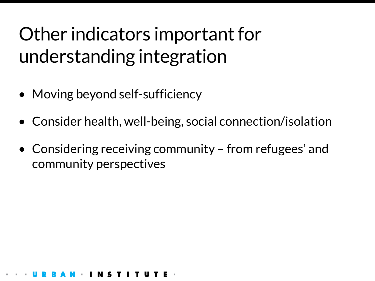### Other indicators important for understanding integration

- Moving beyond self-sufficiency
- Consider health, well-being, social connection/isolation
- Considering receiving community from refugees' and community perspectives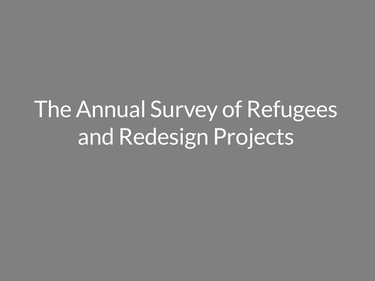# The Annual Survey of Refugees and Redesign Projects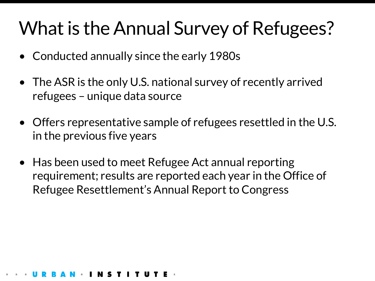### What is the Annual Survey of Refugees?

- Conducted annually since the early 1980s
- The ASR is the only U.S. national survey of recently arrived refugees – unique data source
- Offers representative sample of refugees resettled in the U.S. in the previous five years
- Has been used to meet Refugee Act annual reporting requirement; results are reported each year in the Office of Refugee Resettlement's Annual Report to Congress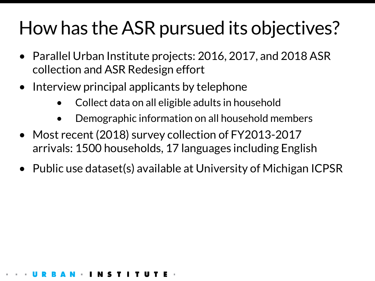### How has the ASR pursued its objectives?

- Parallel Urban Institute projects: 2016, 2017, and 2018 ASR collection and ASR Redesign effort
- Interview principal applicants by telephone
	- Collect data on all eligible adults in household
	- Demographic information on all household members
- Most recent (2018) survey collection of FY2013-2017 arrivals: 1500 households, 17 languages including English
- Public use dataset(s) available at University of Michigan ICPSR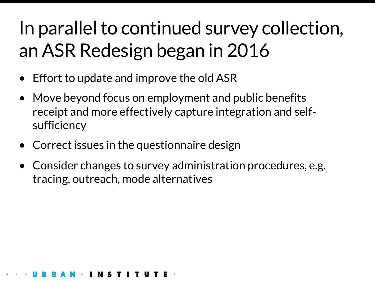### In parallel to continued survey collection, an ASR Redesign began in 2016

- Effort to update and improve the old ASR
- Move beyond focus on employment and public benefits receipt and more effectively capture integration and selfsufficiency
- Correct issues in the questionnaire design
- Consider changes to survey administration procedures, e.g. tracing, outreach, mode alternatives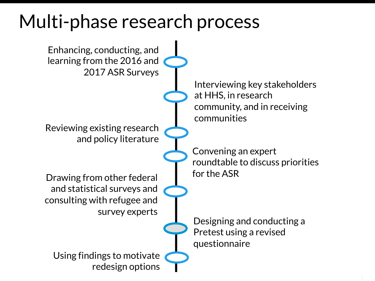#### Multi-phase research process

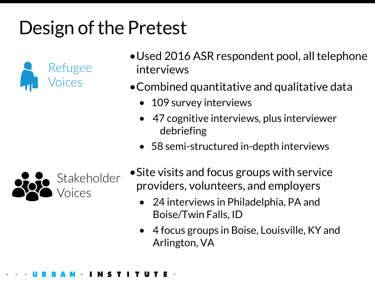## Design of the Pretest



- •Used 2016 ASR respondent pool, all telephone interviews
- •Combined quantitative and qualitative data
	- 109 survey interviews
	- 47 cognitive interviews, plus interviewer debriefing
	- 58 semi-structured in-depth interviews



- •Site visits and focus groups with service providers, volunteers, and employers
	- 24 interviews in Philadelphia, PA and Boise/Twin Falls, ID
	- 4 focus groups in Boise, Louisville, KY and Arlington, VA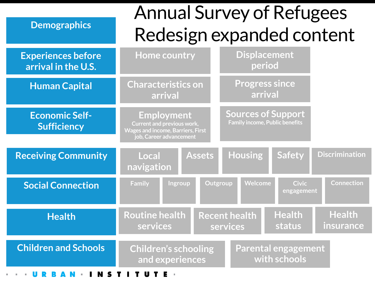| <b>Demographics</b>                              | <b>Annual Survey of Refugees</b><br>Redesign expanded content                                                                 |                                                                    |                            |
|--------------------------------------------------|-------------------------------------------------------------------------------------------------------------------------------|--------------------------------------------------------------------|----------------------------|
| <b>Experiences before</b><br>arrival in the U.S. | <b>Home country</b>                                                                                                           | <b>Displacement</b><br>period                                      |                            |
| <b>Human Capital</b>                             | <b>Characteristics on</b><br>arrival                                                                                          | <b>Progress since</b><br>arrival                                   |                            |
| <b>Economic Self-</b><br><b>Sufficiency</b>      | <b>Employment</b><br><b>Current and previous work,</b><br><b>Wages and income, Barriers, First</b><br>job, Career advancement | <b>Sources of Support</b><br><b>Family income, Public benefits</b> |                            |
| <b>Receiving Community</b>                       | <b>Assets</b><br>Local<br>navigation                                                                                          | <b>Housing</b><br><b>Safety</b>                                    | <b>Discrimination</b>      |
| <b>Social Connection</b>                         | Ingroup<br><b>Family</b>                                                                                                      | Welcome<br>Outgroup<br><b>Civic</b><br>engagement                  | <b>Connection</b>          |
| <b>Health</b>                                    | <b>Routine health</b><br>services                                                                                             | <b>Health</b><br><b>Recent health</b><br><b>status</b><br>services | <b>Health</b><br>insurance |
| <b>Children and Schools</b>                      | <b>Children's schooling</b><br>and experiences                                                                                | <b>Parental engagement</b><br>with schools                         |                            |
| N S                                              | U                                                                                                                             |                                                                    |                            |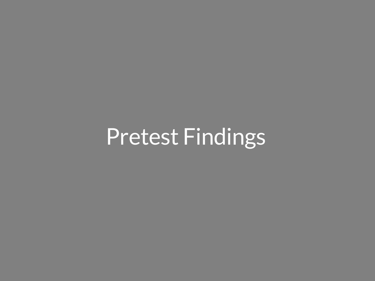# Pretest Findings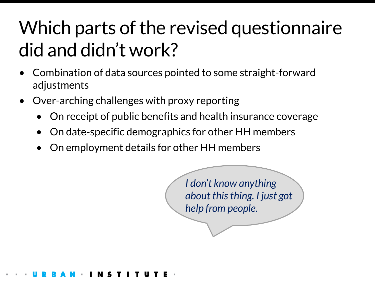### Which parts of the revised questionnaire did and didn't work?

- Combination of data sources pointed to some straight-forward adjustments
- Over-arching challenges with proxy reporting
	- On receipt of public benefits and health insurance coverage
	- On date-specific demographics for other HH members
	- On employment details for other HH members

*I don't know anything about this thing. I just got help from people.*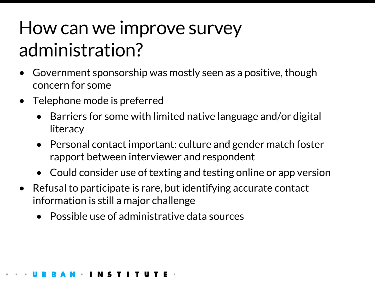### How can we improve survey administration?

- Government sponsorship was mostly seen as a positive, though concern for some
- Telephone mode is preferred
	- Barriers for some with limited native language and/or digital literacy
	- Personal contact important: culture and gender match foster rapport between interviewer and respondent
	- Could consider use of texting and testing online or app version
- Refusal to participate is rare, but identifying accurate contact information is still a major challenge
	- Possible use of administrative data sources

#### **TITUT**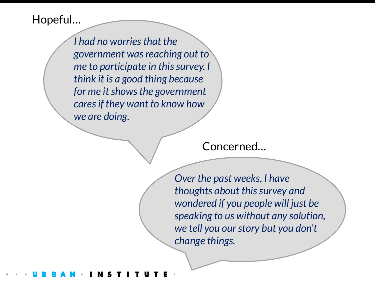#### Hopeful…

*I had no worries that the government was reaching out to me to participate in this survey. I think it is a good thing because for me it shows the government cares if they want to know how we are doing.*

Concerned…

*Over the past weeks, I have thoughts about this survey and wondered if you people will just be speaking to us without any solution, we tell you our story but you don't change things.*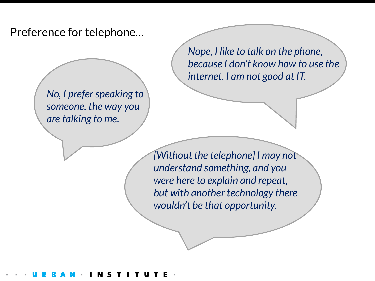Preference for telephone…

*No, I prefer speaking to someone, the way you are talking to me.* 

*Nope, I like to talk on the phone, because I don't know how to use the internet. I am not good at IT.*

*[Without the telephone] I may not understand something, and you were here to explain and repeat, but with another technology there wouldn't be that opportunity.*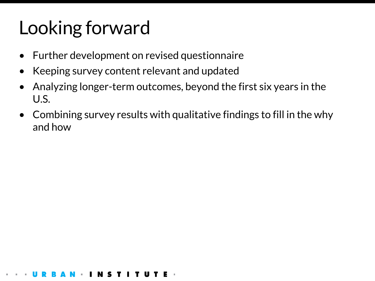### Looking forward

- Further development on revised questionnaire
- Keeping survey content relevant and updated
- Analyzing longer-term outcomes, beyond the first six years in the U.S.
- Combining survey results with qualitative findings to fill in the why and how